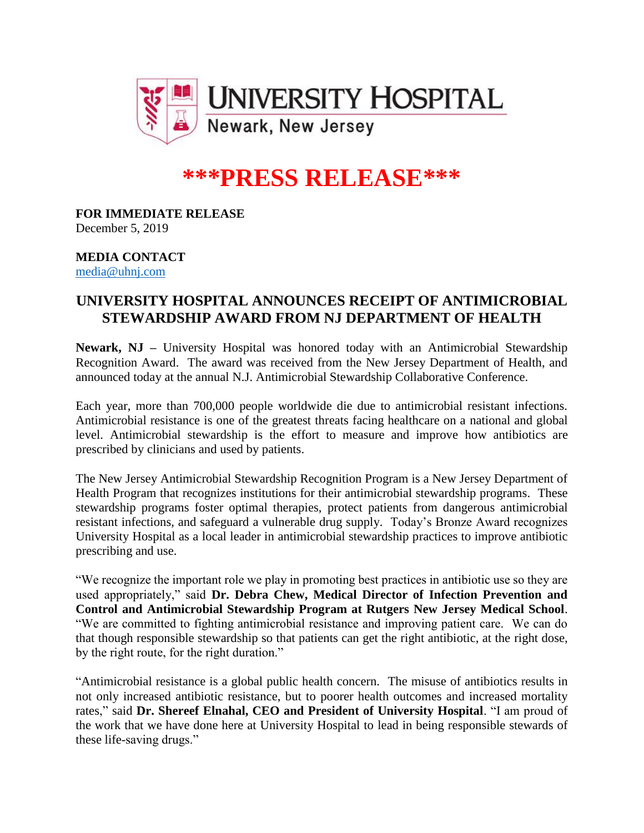

## **\*\*\*PRESS RELEASE\*\*\***

**FOR IMMEDIATE RELEASE** December 5, 2019

## **MEDIA CONTACT** [media@uhnj.com](mailto:media@uhnj.com)

## **UNIVERSITY HOSPITAL ANNOUNCES RECEIPT OF ANTIMICROBIAL STEWARDSHIP AWARD FROM NJ DEPARTMENT OF HEALTH**

**Newark, NJ –** University Hospital was honored today with an Antimicrobial Stewardship Recognition Award. The award was received from the New Jersey Department of Health, and announced today at the annual N.J. Antimicrobial Stewardship Collaborative Conference.

Each year, more than 700,000 people worldwide die due to antimicrobial resistant infections. Antimicrobial resistance is one of the greatest threats facing healthcare on a national and global level. Antimicrobial stewardship is the effort to measure and improve how antibiotics are prescribed by clinicians and used by patients.

The New Jersey Antimicrobial Stewardship Recognition Program is a New Jersey Department of Health Program that recognizes institutions for their antimicrobial stewardship programs. These stewardship programs foster optimal therapies, protect patients from dangerous antimicrobial resistant infections, and safeguard a vulnerable drug supply. Today's Bronze Award recognizes University Hospital as a local leader in antimicrobial stewardship practices to improve antibiotic prescribing and use.

"We recognize the important role we play in promoting best practices in antibiotic use so they are used appropriately," said **Dr. Debra Chew, Medical Director of Infection Prevention and Control and Antimicrobial Stewardship Program at Rutgers New Jersey Medical School**. "We are committed to fighting antimicrobial resistance and improving patient care. We can do that though responsible stewardship so that patients can get the right antibiotic, at the right dose, by the right route, for the right duration."

"Antimicrobial resistance is a global public health concern. The misuse of antibiotics results in not only increased antibiotic resistance, but to poorer health outcomes and increased mortality rates," said **Dr. Shereef Elnahal, CEO and President of University Hospital**. "I am proud of the work that we have done here at University Hospital to lead in being responsible stewards of these life-saving drugs."